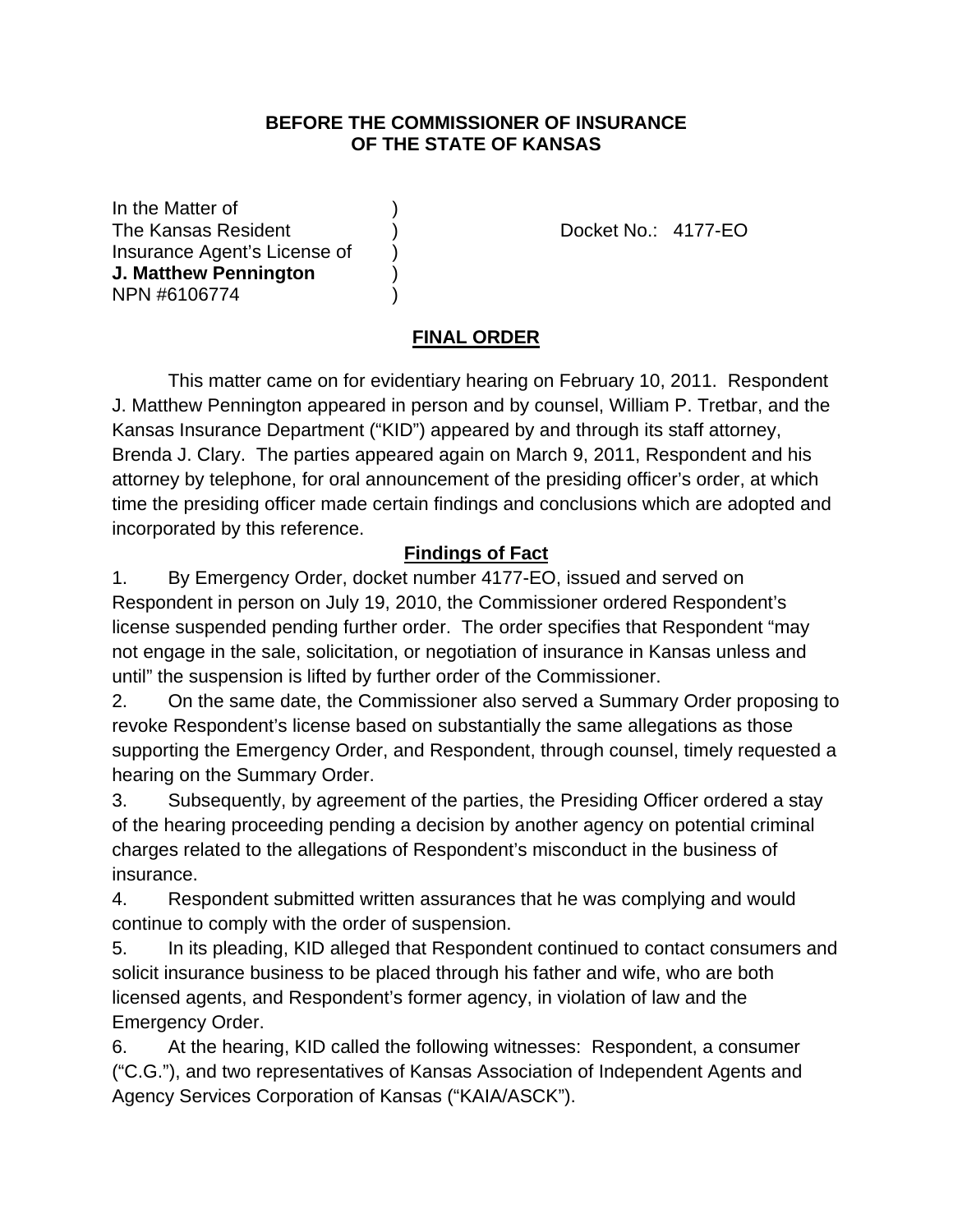#### **BEFORE THE COMMISSIONER OF INSURANCE OF THE STATE OF KANSAS**

In the Matter of The Kansas Resident ) Docket No.: 4177-EO Insurance Agent's License of ) **J. Matthew Pennington** ) NPN #6106774 )

# **FINAL ORDER**

 This matter came on for evidentiary hearing on February 10, 2011. Respondent J. Matthew Pennington appeared in person and by counsel, William P. Tretbar, and the Kansas Insurance Department ("KID") appeared by and through its staff attorney, Brenda J. Clary. The parties appeared again on March 9, 2011, Respondent and his attorney by telephone, for oral announcement of the presiding officer's order, at which time the presiding officer made certain findings and conclusions which are adopted and incorporated by this reference.

## **Findings of Fact**

1. By Emergency Order, docket number 4177-EO, issued and served on Respondent in person on July 19, 2010, the Commissioner ordered Respondent's license suspended pending further order. The order specifies that Respondent "may not engage in the sale, solicitation, or negotiation of insurance in Kansas unless and until" the suspension is lifted by further order of the Commissioner.

2. On the same date, the Commissioner also served a Summary Order proposing to revoke Respondent's license based on substantially the same allegations as those supporting the Emergency Order, and Respondent, through counsel, timely requested a hearing on the Summary Order.

3. Subsequently, by agreement of the parties, the Presiding Officer ordered a stay of the hearing proceeding pending a decision by another agency on potential criminal charges related to the allegations of Respondent's misconduct in the business of insurance.

4. Respondent submitted written assurances that he was complying and would continue to comply with the order of suspension.

5. In its pleading, KID alleged that Respondent continued to contact consumers and solicit insurance business to be placed through his father and wife, who are both licensed agents, and Respondent's former agency, in violation of law and the Emergency Order.

6. At the hearing, KID called the following witnesses: Respondent, a consumer ("C.G."), and two representatives of Kansas Association of Independent Agents and Agency Services Corporation of Kansas ("KAIA/ASCK").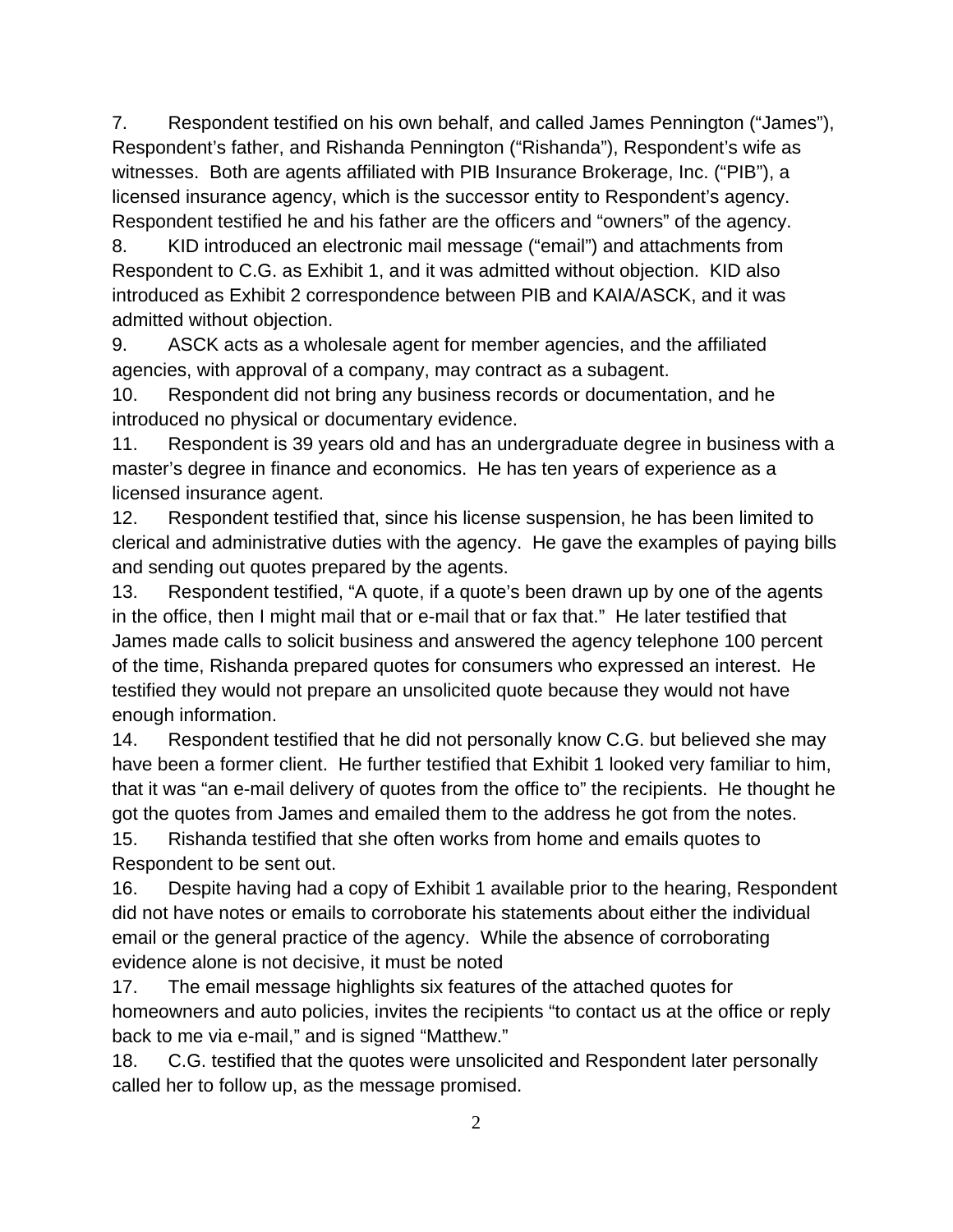7. Respondent testified on his own behalf, and called James Pennington ("James"), Respondent's father, and Rishanda Pennington ("Rishanda"), Respondent's wife as witnesses. Both are agents affiliated with PIB Insurance Brokerage, Inc. ("PIB"), a licensed insurance agency, which is the successor entity to Respondent's agency. Respondent testified he and his father are the officers and "owners" of the agency.

8. KID introduced an electronic mail message ("email") and attachments from Respondent to C.G. as Exhibit 1, and it was admitted without objection. KID also introduced as Exhibit 2 correspondence between PIB and KAIA/ASCK, and it was admitted without objection.

9. ASCK acts as a wholesale agent for member agencies, and the affiliated agencies, with approval of a company, may contract as a subagent.

10. Respondent did not bring any business records or documentation, and he introduced no physical or documentary evidence.

11. Respondent is 39 years old and has an undergraduate degree in business with a master's degree in finance and economics. He has ten years of experience as a licensed insurance agent.

12. Respondent testified that, since his license suspension, he has been limited to clerical and administrative duties with the agency. He gave the examples of paying bills and sending out quotes prepared by the agents.

13. Respondent testified, "A quote, if a quote's been drawn up by one of the agents in the office, then I might mail that or e-mail that or fax that." He later testified that James made calls to solicit business and answered the agency telephone 100 percent of the time, Rishanda prepared quotes for consumers who expressed an interest. He testified they would not prepare an unsolicited quote because they would not have enough information.

14. Respondent testified that he did not personally know C.G. but believed she may have been a former client. He further testified that Exhibit 1 looked very familiar to him, that it was "an e-mail delivery of quotes from the office to" the recipients. He thought he got the quotes from James and emailed them to the address he got from the notes.

15. Rishanda testified that she often works from home and emails quotes to Respondent to be sent out.

16. Despite having had a copy of Exhibit 1 available prior to the hearing, Respondent did not have notes or emails to corroborate his statements about either the individual email or the general practice of the agency. While the absence of corroborating evidence alone is not decisive, it must be noted

17. The email message highlights six features of the attached quotes for homeowners and auto policies, invites the recipients "to contact us at the office or reply back to me via e-mail," and is signed "Matthew."

18. C.G. testified that the quotes were unsolicited and Respondent later personally called her to follow up, as the message promised.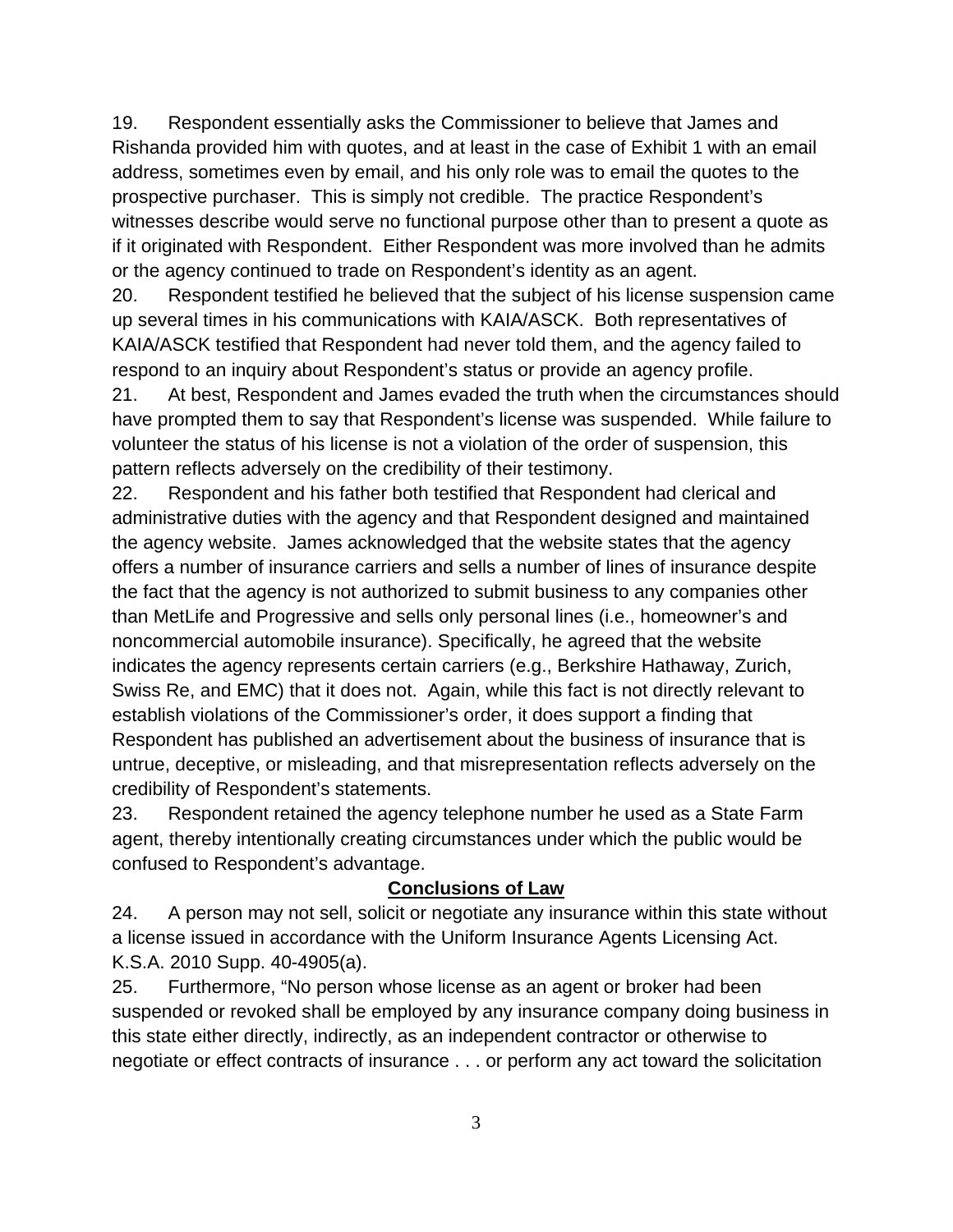19. Respondent essentially asks the Commissioner to believe that James and Rishanda provided him with quotes, and at least in the case of Exhibit 1 with an email address, sometimes even by email, and his only role was to email the quotes to the prospective purchaser. This is simply not credible. The practice Respondent's witnesses describe would serve no functional purpose other than to present a quote as if it originated with Respondent. Either Respondent was more involved than he admits or the agency continued to trade on Respondent's identity as an agent.

20. Respondent testified he believed that the subject of his license suspension came up several times in his communications with KAIA/ASCK. Both representatives of KAIA/ASCK testified that Respondent had never told them, and the agency failed to respond to an inquiry about Respondent's status or provide an agency profile.

21. At best, Respondent and James evaded the truth when the circumstances should have prompted them to say that Respondent's license was suspended. While failure to volunteer the status of his license is not a violation of the order of suspension, this pattern reflects adversely on the credibility of their testimony.

22. Respondent and his father both testified that Respondent had clerical and administrative duties with the agency and that Respondent designed and maintained the agency website. James acknowledged that the website states that the agency offers a number of insurance carriers and sells a number of lines of insurance despite the fact that the agency is not authorized to submit business to any companies other than MetLife and Progressive and sells only personal lines (i.e., homeowner's and noncommercial automobile insurance). Specifically, he agreed that the website indicates the agency represents certain carriers (e.g., Berkshire Hathaway, Zurich, Swiss Re, and EMC) that it does not. Again, while this fact is not directly relevant to establish violations of the Commissioner's order, it does support a finding that Respondent has published an advertisement about the business of insurance that is untrue, deceptive, or misleading, and that misrepresentation reflects adversely on the credibility of Respondent's statements.

23. Respondent retained the agency telephone number he used as a State Farm agent, thereby intentionally creating circumstances under which the public would be confused to Respondent's advantage.

## **Conclusions of Law**

24. A person may not sell, solicit or negotiate any insurance within this state without a license issued in accordance with the Uniform Insurance Agents Licensing Act. K.S.A. 2010 Supp. 40-4905(a).

25. Furthermore, "No person whose license as an agent or broker had been suspended or revoked shall be employed by any insurance company doing business in this state either directly, indirectly, as an independent contractor or otherwise to negotiate or effect contracts of insurance . . . or perform any act toward the solicitation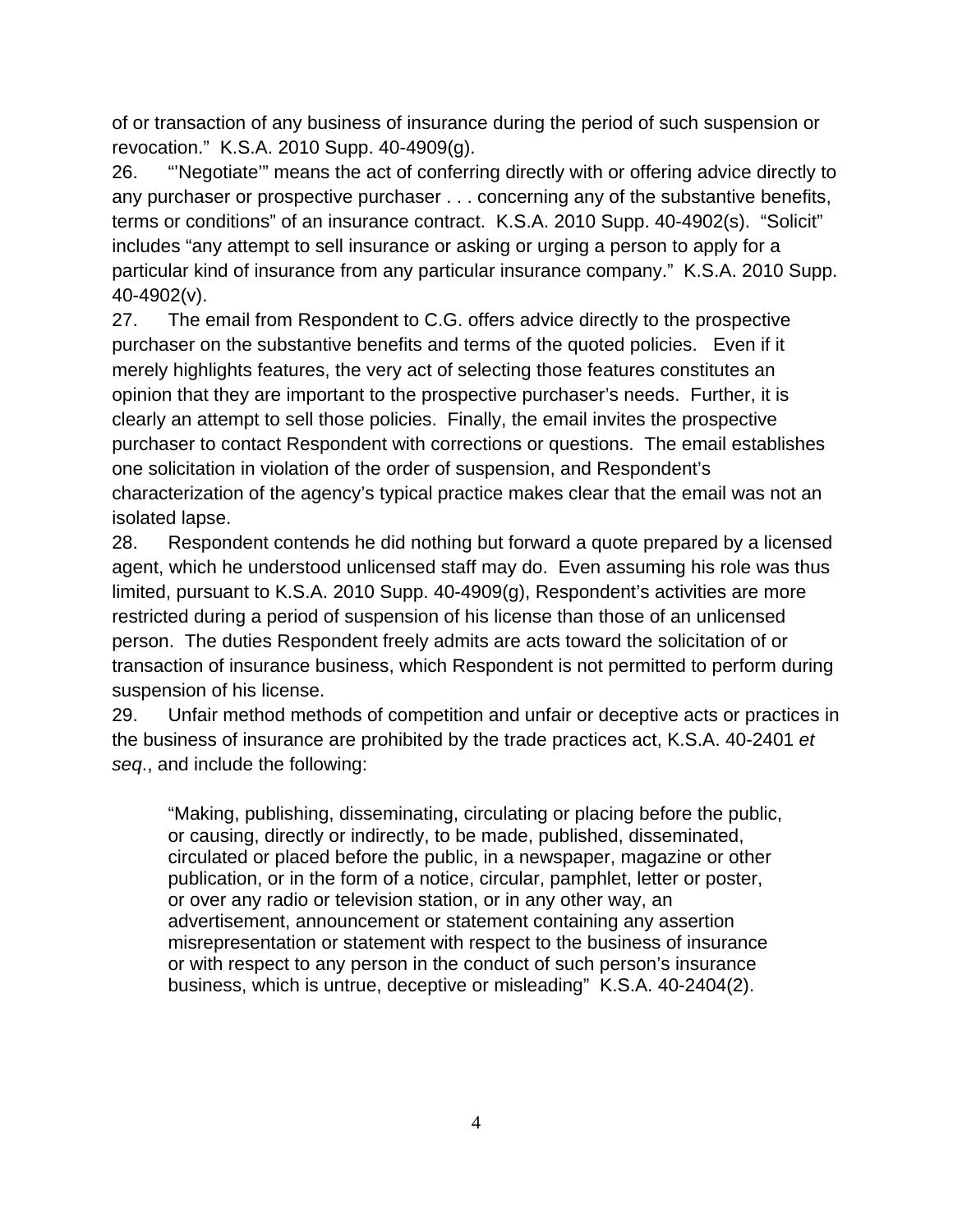of or transaction of any business of insurance during the period of such suspension or revocation." K.S.A. 2010 Supp. 40-4909(g).

26. "'Negotiate'" means the act of conferring directly with or offering advice directly to any purchaser or prospective purchaser . . . concerning any of the substantive benefits, terms or conditions" of an insurance contract. K.S.A. 2010 Supp. 40-4902(s). "Solicit" includes "any attempt to sell insurance or asking or urging a person to apply for a particular kind of insurance from any particular insurance company." K.S.A. 2010 Supp. 40-4902(v).

27. The email from Respondent to C.G. offers advice directly to the prospective purchaser on the substantive benefits and terms of the quoted policies. Even if it merely highlights features, the very act of selecting those features constitutes an opinion that they are important to the prospective purchaser's needs. Further, it is clearly an attempt to sell those policies. Finally, the email invites the prospective purchaser to contact Respondent with corrections or questions. The email establishes one solicitation in violation of the order of suspension, and Respondent's characterization of the agency's typical practice makes clear that the email was not an isolated lapse.

28. Respondent contends he did nothing but forward a quote prepared by a licensed agent, which he understood unlicensed staff may do. Even assuming his role was thus limited, pursuant to K.S.A. 2010 Supp. 40-4909(g), Respondent's activities are more restricted during a period of suspension of his license than those of an unlicensed person. The duties Respondent freely admits are acts toward the solicitation of or transaction of insurance business, which Respondent is not permitted to perform during suspension of his license.

29. Unfair method methods of competition and unfair or deceptive acts or practices in the business of insurance are prohibited by the trade practices act, K.S.A. 40-2401 *et seq*., and include the following:

"Making, publishing, disseminating, circulating or placing before the public, or causing, directly or indirectly, to be made, published, disseminated, circulated or placed before the public, in a newspaper, magazine or other publication, or in the form of a notice, circular, pamphlet, letter or poster, or over any radio or television station, or in any other way, an advertisement, announcement or statement containing any assertion misrepresentation or statement with respect to the business of insurance or with respect to any person in the conduct of such person's insurance business, which is untrue, deceptive or misleading" K.S.A. 40-2404(2).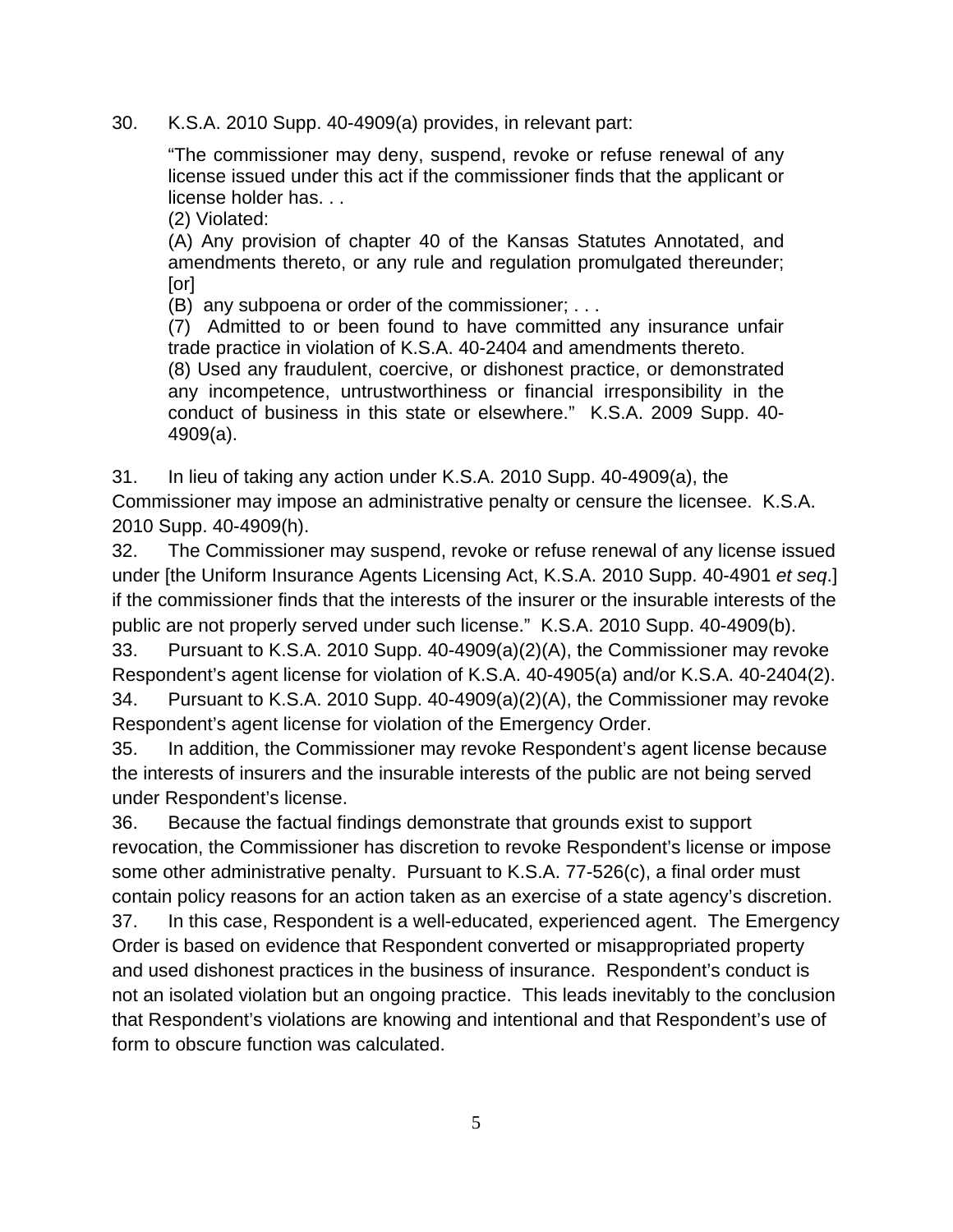30. K.S.A. 2010 Supp. 40-4909(a) provides, in relevant part:

"The commissioner may deny, suspend, revoke or refuse renewal of any license issued under this act if the commissioner finds that the applicant or license holder has. . .

(2) Violated:

(A) Any provision of chapter 40 of the Kansas Statutes Annotated, and amendments thereto, or any rule and regulation promulgated thereunder; [or]

(B) any subpoena or order of the commissioner; . . .

(7) Admitted to or been found to have committed any insurance unfair trade practice in violation of K.S.A. 40-2404 and amendments thereto.

(8) Used any fraudulent, coercive, or dishonest practice, or demonstrated any incompetence, untrustworthiness or financial irresponsibility in the conduct of business in this state or elsewhere." K.S.A. 2009 Supp. 40- 4909(a).

31. In lieu of taking any action under K.S.A. 2010 Supp. 40-4909(a), the

Commissioner may impose an administrative penalty or censure the licensee. K.S.A. 2010 Supp. 40-4909(h).

32. The Commissioner may suspend, revoke or refuse renewal of any license issued under [the Uniform Insurance Agents Licensing Act, K.S.A. 2010 Supp. 40-4901 *et seq*.] if the commissioner finds that the interests of the insurer or the insurable interests of the public are not properly served under such license." K.S.A. 2010 Supp. 40-4909(b).

33. Pursuant to K.S.A. 2010 Supp. 40-4909(a)(2)(A), the Commissioner may revoke Respondent's agent license for violation of K.S.A. 40-4905(a) and/or K.S.A. 40-2404(2). 34. Pursuant to K.S.A. 2010 Supp. 40-4909(a)(2)(A), the Commissioner may revoke

Respondent's agent license for violation of the Emergency Order.

35. In addition, the Commissioner may revoke Respondent's agent license because the interests of insurers and the insurable interests of the public are not being served under Respondent's license.

36. Because the factual findings demonstrate that grounds exist to support revocation, the Commissioner has discretion to revoke Respondent's license or impose some other administrative penalty. Pursuant to K.S.A. 77-526(c), a final order must contain policy reasons for an action taken as an exercise of a state agency's discretion.

37. In this case, Respondent is a well-educated, experienced agent. The Emergency Order is based on evidence that Respondent converted or misappropriated property and used dishonest practices in the business of insurance. Respondent's conduct is not an isolated violation but an ongoing practice. This leads inevitably to the conclusion that Respondent's violations are knowing and intentional and that Respondent's use of form to obscure function was calculated.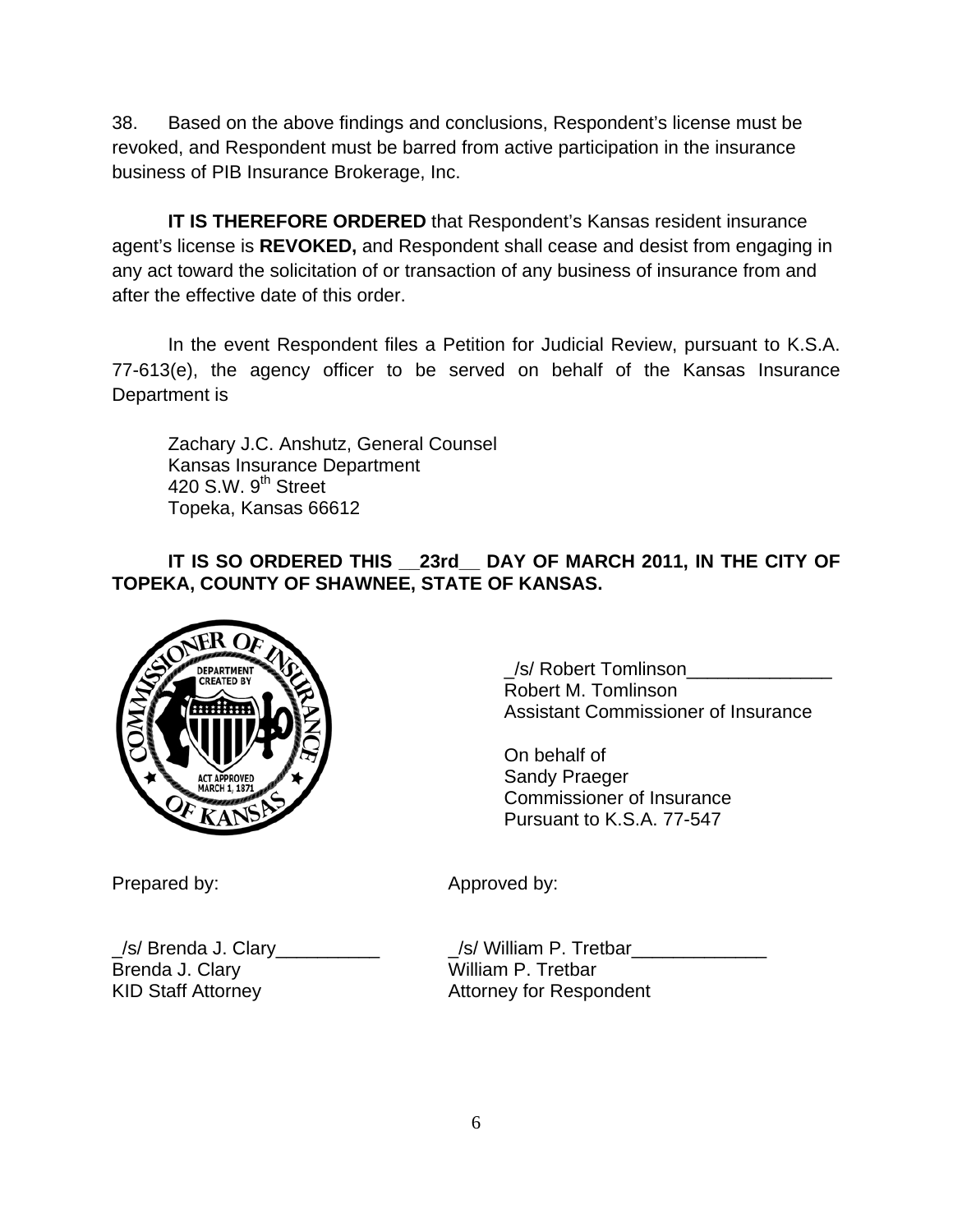38. Based on the above findings and conclusions, Respondent's license must be revoked, and Respondent must be barred from active participation in the insurance business of PIB Insurance Brokerage, Inc.

**IT IS THEREFORE ORDERED** that Respondent's Kansas resident insurance agent's license is **REVOKED,** and Respondent shall cease and desist from engaging in any act toward the solicitation of or transaction of any business of insurance from and after the effective date of this order.

In the event Respondent files a Petition for Judicial Review, pursuant to K.S.A. 77-613(e), the agency officer to be served on behalf of the Kansas Insurance Department is

 Zachary J.C. Anshutz, General Counsel Kansas Insurance Department 420 S.W. 9<sup>th</sup> Street Topeka, Kansas 66612

# **IT IS SO ORDERED THIS \_\_23rd\_\_ DAY OF MARCH 2011, IN THE CITY OF TOPEKA, COUNTY OF SHAWNEE, STATE OF KANSAS.**



\_/s/ Robert Tomlinson\_\_\_\_\_\_\_\_\_\_\_\_\_\_ Robert M. Tomlinson Assistant Commissioner of Insurance

On behalf of Sandy Praeger Commissioner of Insurance Pursuant to K.S.A. 77-547

Prepared by: Approved by:

\_/s/ Brenda J. Clary\_\_\_\_\_\_\_\_\_\_ \_/s/ William P. Tretbar\_\_\_\_\_\_\_\_\_\_\_\_\_ Brenda J. Clary William P. Tretbar KID Staff Attorney **Attorney Following Attorney for Respondent**